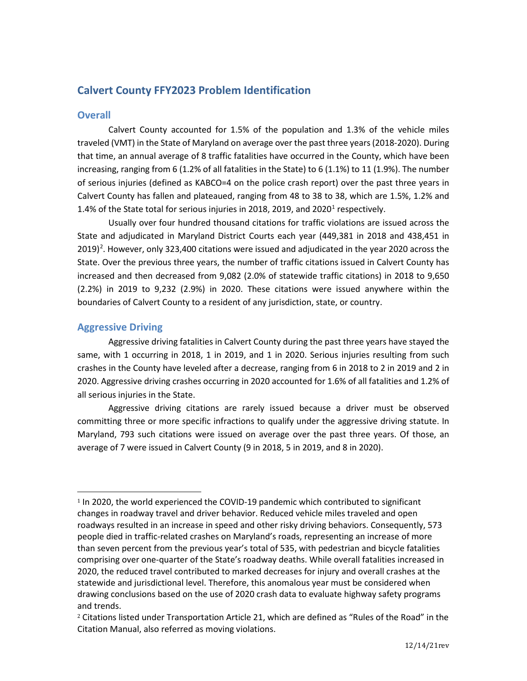# **Calvert County FFY2023 Problem Identification**

# **Overall**

Calvert County accounted for 1.5% of the population and 1.3% of the vehicle miles traveled (VMT) in the State of Maryland on average over the past three years (2018-2020). During that time, an annual average of 8 traffic fatalities have occurred in the County, which have been increasing, ranging from 6 (1.2% of all fatalities in the State) to 6 (1.1%) to 11 (1.9%). The number of serious injuries (defined as KABCO=4 on the police crash report) over the past three years in Calvert County has fallen and plateaued, ranging from 48 to 38 to 38, which are 1.5%, 1.2% and [1](#page-0-0).4% of the State total for serious injuries in 2018, 2019, and 2020<sup>1</sup> respectively.

Usually over four hundred thousand citations for traffic violations are issued across the State and adjudicated in Maryland District Courts each year (449,381 in 2018 and 438,451 in [2](#page-0-1)019)<sup>2</sup>. However, only 323,400 citations were issued and adjudicated in the year 2020 across the State. Over the previous three years, the number of traffic citations issued in Calvert County has increased and then decreased from 9,082 (2.0% of statewide traffic citations) in 2018 to 9,650 (2.2%) in 2019 to 9,232 (2.9%) in 2020. These citations were issued anywhere within the boundaries of Calvert County to a resident of any jurisdiction, state, or country.

## **Aggressive Driving**

Aggressive driving fatalities in Calvert County during the past three years have stayed the same, with 1 occurring in 2018, 1 in 2019, and 1 in 2020. Serious injuries resulting from such crashes in the County have leveled after a decrease, ranging from 6 in 2018 to 2 in 2019 and 2 in 2020. Aggressive driving crashes occurring in 2020 accounted for 1.6% of all fatalities and 1.2% of all serious injuries in the State.

Aggressive driving citations are rarely issued because a driver must be observed committing three or more specific infractions to qualify under the aggressive driving statute. In Maryland, 793 such citations were issued on average over the past three years. Of those, an average of 7 were issued in Calvert County (9 in 2018, 5 in 2019, and 8 in 2020).

<span id="page-0-0"></span><sup>1</sup> In 2020, the world experienced the COVID-19 pandemic which contributed to significant changes in roadway travel and driver behavior. Reduced vehicle miles traveled and open roadways resulted in an increase in speed and other risky driving behaviors. Consequently, 573 people died in traffic-related crashes on Maryland's roads, representing an increase of more than seven percent from the previous year's total of 535, with pedestrian and bicycle fatalities comprising over one-quarter of the State's roadway deaths. While overall fatalities increased in 2020, the reduced travel contributed to marked decreases for injury and overall crashes at the statewide and jurisdictional level. Therefore, this anomalous year must be considered when drawing conclusions based on the use of 2020 crash data to evaluate highway safety programs and trends.

<span id="page-0-1"></span><sup>2</sup> Citations listed under Transportation Article 21, which are defined as "Rules of the Road" in the Citation Manual, also referred as moving violations.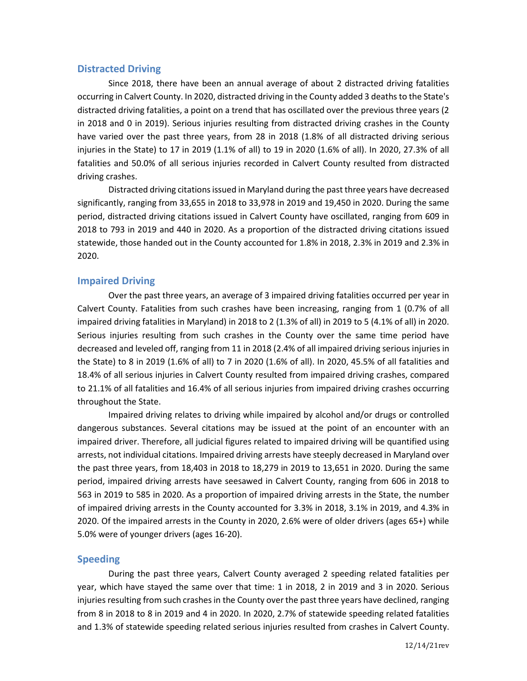### **Distracted Driving**

Since 2018, there have been an annual average of about 2 distracted driving fatalities occurring in Calvert County. In 2020, distracted driving in the County added 3 deaths to the State's distracted driving fatalities, a point on a trend that has oscillated over the previous three years (2 in 2018 and 0 in 2019). Serious injuries resulting from distracted driving crashes in the County have varied over the past three years, from 28 in 2018 (1.8% of all distracted driving serious injuries in the State) to 17 in 2019 (1.1% of all) to 19 in 2020 (1.6% of all). In 2020, 27.3% of all fatalities and 50.0% of all serious injuries recorded in Calvert County resulted from distracted driving crashes.

Distracted driving citations issued in Maryland during the past three years have decreased significantly, ranging from 33,655 in 2018 to 33,978 in 2019 and 19,450 in 2020. During the same period, distracted driving citations issued in Calvert County have oscillated, ranging from 609 in 2018 to 793 in 2019 and 440 in 2020. As a proportion of the distracted driving citations issued statewide, those handed out in the County accounted for 1.8% in 2018, 2.3% in 2019 and 2.3% in 2020.

#### **Impaired Driving**

Over the past three years, an average of 3 impaired driving fatalities occurred per year in Calvert County. Fatalities from such crashes have been increasing, ranging from 1 (0.7% of all impaired driving fatalities in Maryland) in 2018 to 2 (1.3% of all) in 2019 to 5 (4.1% of all) in 2020. Serious injuries resulting from such crashes in the County over the same time period have decreased and leveled off, ranging from 11 in 2018 (2.4% of all impaired driving serious injuries in the State) to 8 in 2019 (1.6% of all) to 7 in 2020 (1.6% of all). In 2020, 45.5% of all fatalities and 18.4% of all serious injuries in Calvert County resulted from impaired driving crashes, compared to 21.1% of all fatalities and 16.4% of all serious injuries from impaired driving crashes occurring throughout the State.

Impaired driving relates to driving while impaired by alcohol and/or drugs or controlled dangerous substances. Several citations may be issued at the point of an encounter with an impaired driver. Therefore, all judicial figures related to impaired driving will be quantified using arrests, not individual citations. Impaired driving arrests have steeply decreased in Maryland over the past three years, from 18,403 in 2018 to 18,279 in 2019 to 13,651 in 2020. During the same period, impaired driving arrests have seesawed in Calvert County, ranging from 606 in 2018 to 563 in 2019 to 585 in 2020. As a proportion of impaired driving arrests in the State, the number of impaired driving arrests in the County accounted for 3.3% in 2018, 3.1% in 2019, and 4.3% in 2020. Of the impaired arrests in the County in 2020, 2.6% were of older drivers (ages 65+) while 5.0% were of younger drivers (ages 16-20).

#### **Speeding**

During the past three years, Calvert County averaged 2 speeding related fatalities per year, which have stayed the same over that time: 1 in 2018, 2 in 2019 and 3 in 2020. Serious injuries resulting from such crashes in the County over the past three years have declined, ranging from 8 in 2018 to 8 in 2019 and 4 in 2020. In 2020, 2.7% of statewide speeding related fatalities and 1.3% of statewide speeding related serious injuries resulted from crashes in Calvert County.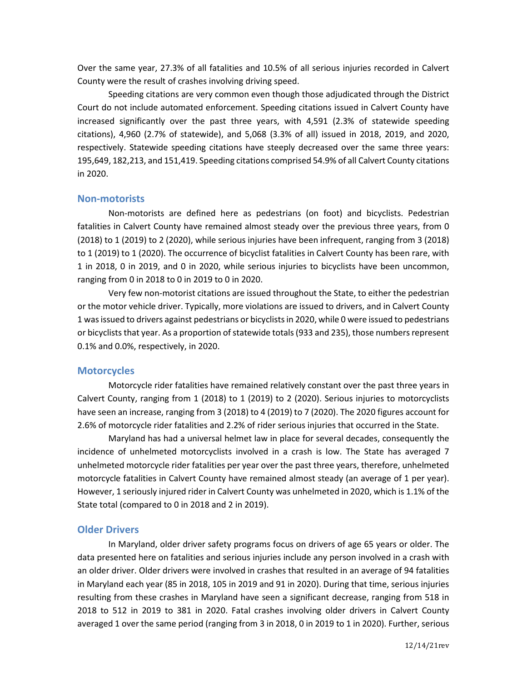Over the same year, 27.3% of all fatalities and 10.5% of all serious injuries recorded in Calvert County were the result of crashes involving driving speed.

Speeding citations are very common even though those adjudicated through the District Court do not include automated enforcement. Speeding citations issued in Calvert County have increased significantly over the past three years, with 4,591 (2.3% of statewide speeding citations), 4,960 (2.7% of statewide), and 5,068 (3.3% of all) issued in 2018, 2019, and 2020, respectively. Statewide speeding citations have steeply decreased over the same three years: 195,649, 182,213, and 151,419. Speeding citations comprised 54.9% of all Calvert County citations in 2020.

#### **Non-motorists**

Non-motorists are defined here as pedestrians (on foot) and bicyclists. Pedestrian fatalities in Calvert County have remained almost steady over the previous three years, from 0 (2018) to 1 (2019) to 2 (2020), while serious injuries have been infrequent, ranging from 3 (2018) to 1 (2019) to 1 (2020). The occurrence of bicyclist fatalities in Calvert County has been rare, with 1 in 2018, 0 in 2019, and 0 in 2020, while serious injuries to bicyclists have been uncommon, ranging from 0 in 2018 to 0 in 2019 to 0 in 2020.

Very few non-motorist citations are issued throughout the State, to either the pedestrian or the motor vehicle driver. Typically, more violations are issued to drivers, and in Calvert County 1 was issued to drivers against pedestrians or bicyclists in 2020, while 0 were issued to pedestrians or bicyclists that year. As a proportion of statewide totals (933 and 235), those numbers represent 0.1% and 0.0%, respectively, in 2020.

#### **Motorcycles**

Motorcycle rider fatalities have remained relatively constant over the past three years in Calvert County, ranging from 1 (2018) to 1 (2019) to 2 (2020). Serious injuries to motorcyclists have seen an increase, ranging from 3 (2018) to 4 (2019) to 7 (2020). The 2020 figures account for 2.6% of motorcycle rider fatalities and 2.2% of rider serious injuries that occurred in the State.

Maryland has had a universal helmet law in place for several decades, consequently the incidence of unhelmeted motorcyclists involved in a crash is low. The State has averaged 7 unhelmeted motorcycle rider fatalities per year over the past three years, therefore, unhelmeted motorcycle fatalities in Calvert County have remained almost steady (an average of 1 per year). However, 1 seriously injured rider in Calvert County was unhelmeted in 2020, which is 1.1% of the State total (compared to 0 in 2018 and 2 in 2019).

#### **Older Drivers**

In Maryland, older driver safety programs focus on drivers of age 65 years or older. The data presented here on fatalities and serious injuries include any person involved in a crash with an older driver. Older drivers were involved in crashes that resulted in an average of 94 fatalities in Maryland each year (85 in 2018, 105 in 2019 and 91 in 2020). During that time, serious injuries resulting from these crashes in Maryland have seen a significant decrease, ranging from 518 in 2018 to 512 in 2019 to 381 in 2020. Fatal crashes involving older drivers in Calvert County averaged 1 over the same period (ranging from 3 in 2018, 0 in 2019 to 1 in 2020). Further, serious